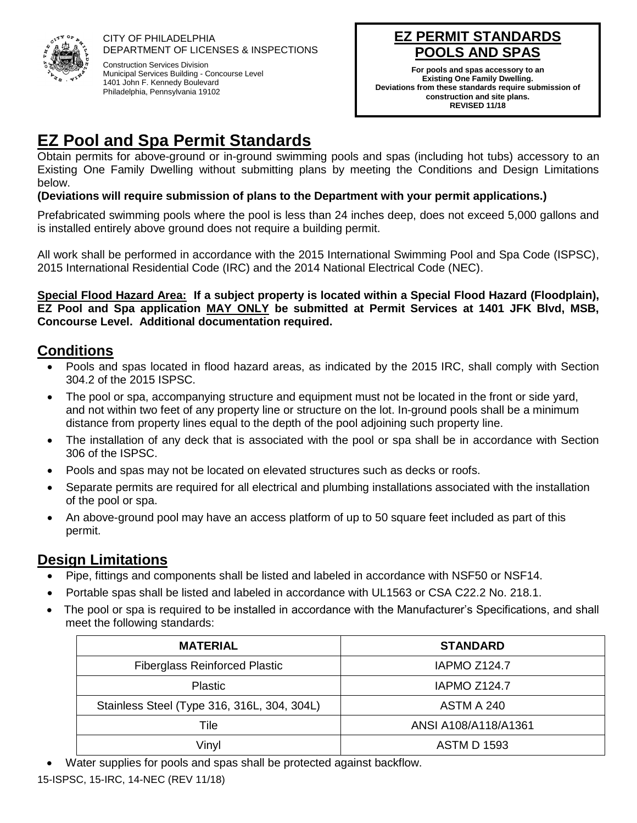

CITY OF PHILADELPHIA DEPARTMENT OF LICENSES & INSPECTIONS Construction Services Division Municipal Services Building - Concourse Level

1401 John F. Kennedy Boulevard Philadelphia, Pennsylvania 19102

# **EZ PERMIT STANDARDS .S AND SPAS**

**For pools and spas accessory to an Existing One Family Dwelling. Deviations from these standards require submission of construction and site plans. REVISED 11/18**

# **EZ Pool and Spa Permit Standards**

Obtain permits for above-ground or in-ground swimming pools and spas (including hot tubs) accessory to an Existing One Family Dwelling without submitting plans by meeting the Conditions and Design Limitations below.

#### **(Deviations will require submission of plans to the Department with your permit applications.)**

Prefabricated swimming pools where the pool is less than 24 inches deep, does not exceed 5,000 gallons and is installed entirely above ground does not require a building permit.

All work shall be performed in accordance with the 2015 International Swimming Pool and Spa Code (ISPSC), 2015 International Residential Code (IRC) and the 2014 National Electrical Code (NEC).

**Special Flood Hazard Area: If a subject property is located within a Special Flood Hazard (Floodplain), EZ Pool and Spa application MAY ONLY be submitted at Permit Services at 1401 JFK Blvd, MSB, Concourse Level. Additional documentation required.** 

## **Conditions**

- Pools and spas located in flood hazard areas, as indicated by the 2015 IRC, shall comply with Section 304.2 of the 2015 ISPSC.
- The pool or spa, accompanying structure and equipment must not be located in the front or side yard, and not within two feet of any property line or structure on the lot. In-ground pools shall be a minimum distance from property lines equal to the depth of the pool adjoining such property line.
- The installation of any deck that is associated with the pool or spa shall be in accordance with Section 306 of the ISPSC.
- Pools and spas may not be located on elevated structures such as decks or roofs.
- Separate permits are required for all electrical and plumbing installations associated with the installation of the pool or spa.
- An above-ground pool may have an access platform of up to 50 square feet included as part of this permit.

## **Design Limitations**

- Pipe, fittings and components shall be listed and labeled in accordance with NSF50 or NSF14.
- Portable spas shall be listed and labeled in accordance with UL1563 or CSA C22.2 No. 218.1.
- The pool or spa is required to be installed in accordance with the Manufacturer's Specifications, and shall meet the following standards:

| <b>MATERIAL</b>                             | <b>STANDARD</b>      |
|---------------------------------------------|----------------------|
| <b>Fiberglass Reinforced Plastic</b>        | <b>IAPMO Z124.7</b>  |
| <b>Plastic</b>                              | <b>IAPMO Z124.7</b>  |
| Stainless Steel (Type 316, 316L, 304, 304L) | ASTM A 240           |
| Tile                                        | ANSI A108/A118/A1361 |
| Vinyl                                       | <b>ASTM D 1593</b>   |

• Water supplies for pools and spas shall be protected against backflow.